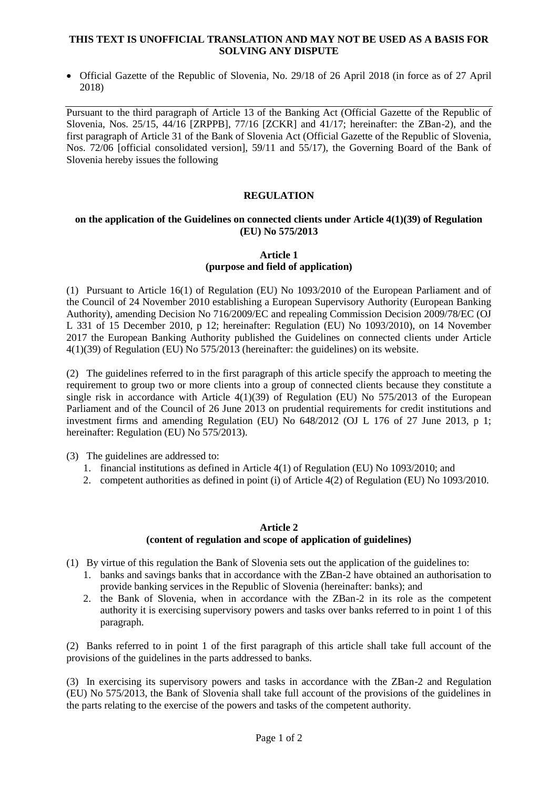#### **THIS TEXT IS UNOFFICIAL TRANSLATION AND MAY NOT BE USED AS A BASIS FOR SOLVING ANY DISPUTE**

 Official Gazette of the Republic of Slovenia, No. 29/18 of 26 April 2018 (in force as of 27 April 2018)

Pursuant to the third paragraph of Article 13 of the Banking Act (Official Gazette of the Republic of Slovenia, Nos. 25/15, 44/16 [ZRPPB], 77/16 [ZCKR] and 41/17; hereinafter: the ZBan-2), and the first paragraph of Article 31 of the Bank of Slovenia Act (Official Gazette of the Republic of Slovenia, Nos. 72/06 [official consolidated version], 59/11 and 55/17), the Governing Board of the Bank of Slovenia hereby issues the following

## **REGULATION**

#### **on the application of the Guidelines on connected clients under Article 4(1)(39) of Regulation (EU) No 575/2013**

## **Article 1 (purpose and field of application)**

(1) Pursuant to Article 16(1) of Regulation (EU) No 1093/2010 of the European Parliament and of the Council of 24 November 2010 establishing a European Supervisory Authority (European Banking Authority), amending Decision No 716/2009/EC and repealing Commission Decision 2009/78/EC (OJ L 331 of 15 December 2010, p 12; hereinafter: Regulation (EU) No 1093/2010), on 14 November 2017 the European Banking Authority published the Guidelines on connected clients under Article 4(1)(39) of Regulation (EU) No 575/2013 (hereinafter: the guidelines) on its website.

(2) The guidelines referred to in the first paragraph of this article specify the approach to meeting the requirement to group two or more clients into a group of connected clients because they constitute a single risk in accordance with Article  $4(1)(39)$  of Regulation (EU) No 575/2013 of the European Parliament and of the Council of 26 June 2013 on prudential requirements for credit institutions and investment firms and amending Regulation (EU) No 648/2012 (OJ L 176 of 27 June 2013, p 1; hereinafter: Regulation (EU) No 575/2013).

(3) The guidelines are addressed to:

- 1. financial institutions as defined in Article 4(1) of Regulation (EU) No 1093/2010; and
- 2. competent authorities as defined in point (i) of Article 4(2) of Regulation (EU) No 1093/2010.

#### **Article 2 (content of regulation and scope of application of guidelines)**

(1) By virtue of this regulation the Bank of Slovenia sets out the application of the guidelines to:

- 1. banks and savings banks that in accordance with the ZBan-2 have obtained an authorisation to provide banking services in the Republic of Slovenia (hereinafter: banks); and
- 2. the Bank of Slovenia, when in accordance with the ZBan-2 in its role as the competent authority it is exercising supervisory powers and tasks over banks referred to in point 1 of this paragraph.

(2) Banks referred to in point 1 of the first paragraph of this article shall take full account of the provisions of the guidelines in the parts addressed to banks.

(3) In exercising its supervisory powers and tasks in accordance with the ZBan-2 and Regulation (EU) No 575/2013, the Bank of Slovenia shall take full account of the provisions of the guidelines in the parts relating to the exercise of the powers and tasks of the competent authority.